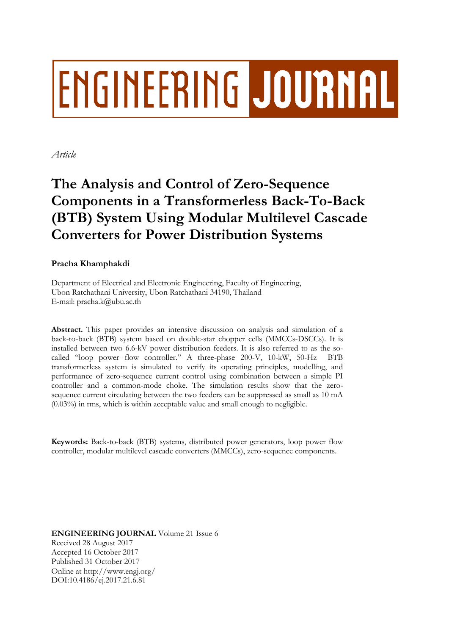# **ENGINEERING JOURNAL**

*Article*

## **The Analysis and Control of Zero-Sequence Components in a Transformerless Back-To-Back (BTB) System Using Modular Multilevel Cascade Converters for Power Distribution Systems**

### **Pracha Khamphakdi**

Department of Electrical and Electronic Engineering, Faculty of Engineering, Ubon Ratchathani University, Ubon Ratchathani 34190, Thailand E-mail: pracha.k@ubu.ac.th

**Abstract.** This paper provides an intensive discussion on analysis and simulation of a back-to-back (BTB) system based on double-star chopper cells (MMCCs-DSCCs). It is installed between two 6.6-kV power distribution feeders. It is also referred to as the socalled "loop power flow controller." A three-phase 200-V, 10-kW, 50-Hz BTB transformerless system is simulated to verify its operating principles, modelling, and performance of zero-sequence current control using combination between a simple PI controller and a common-mode choke. The simulation results show that the zerosequence current circulating between the two feeders can be suppressed as small as 10 mA (0.03%) in rms, which is within acceptable value and small enough to negligible.

**Keywords:** Back-to-back (BTB) systems, distributed power generators, loop power flow controller, modular multilevel cascade converters (MMCCs), zero-sequence components.

**ENGINEERING JOURNAL** Volume 21 Issue 6 Received 28 August 2017 Accepted 16 October 2017 Published 31 October 2017 Online at http://www.engj.org/ DOI:10.4186/ej.2017.21.6.81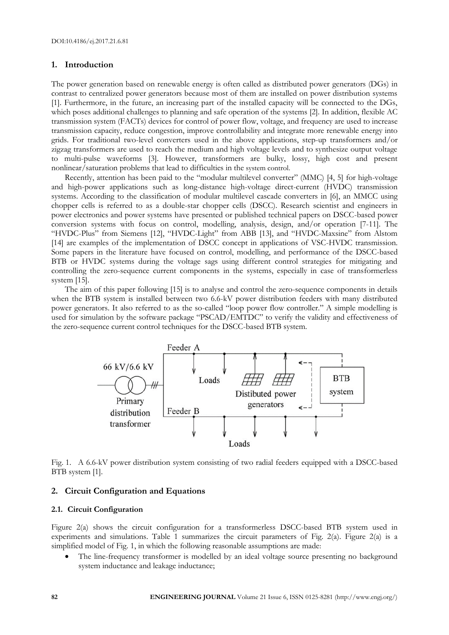#### **1. Introduction**

The power generation based on renewable energy is often called as distributed power generators (DGs) in contrast to centralized power generators because most of them are installed on power distribution systems [1]. Furthermore, in the future, an increasing part of the installed capacity will be connected to the DGs, which poses additional challenges to planning and safe operation of the systems [2]. In addition, flexible AC transmission system (FACTs) devices for control of power flow, voltage, and frequency are used to increase transmission capacity, reduce congestion, improve controllability and integrate more renewable energy into grids. For traditional two-level converters used in the above applications, step-up transformers and/or zigzag transformers are used to reach the medium and high voltage levels and to synthesize output voltage to multi-pulse waveforms [3]. However, transformers are bulky, lossy, high cost and present nonlinear/saturation problems that lead to difficulties in the system control.

Recently, attention has been paid to the "modular multilevel converter" (MMC) [4, 5] for high-voltage and high-power applications such as long-distance high-voltage direct-current (HVDC) transmission systems. According to the classification of modular multilevel cascade converters in [6], an MMCC using chopper cells is referred to as a double-star chopper cells (DSCC). Research scientist and engineers in power electronics and power systems have presented or published technical papers on DSCC-based power conversion systems with focus on control, modelling, analysis, design, and/or operation [7-11]. The "HVDC-Plus" from Siemens [12], "HVDC-Light" from ABB [13], and "HVDC-Maxsine" from Alstom [14] are examples of the implementation of DSCC concept in applications of VSC-HVDC transmission. Some papers in the literature have focused on control, modelling, and performance of the DSCC-based BTB or HVDC systems during the voltage sags using different control strategies for mitigating and controlling the zero-sequence current components in the systems, especially in case of transformerless system [15].

The aim of this paper following [15] is to analyse and control the zero-sequence components in details when the BTB system is installed between two 6.6-kV power distribution feeders with many distributed power generators. It also referred to as the so-called "loop power flow controller." A simple modelling is used for simulation by the software package "PSCAD/EMTDC" to verify the validity and effectiveness of the zero-sequence current control techniques for the DSCC-based BTB system.



Fig. 1. A 6.6-kV power distribution system consisting of two radial feeders equipped with a DSCC-based BTB system [1].

#### **2. Circuit Configuration and Equations**

#### **2.1. Circuit Configuration**

Figure 2(a) shows the circuit configuration for a transformerless DSCC-based BTB system used in experiments and simulations. Table 1 summarizes the circuit parameters of Fig. 2(a). Figure 2(a) is a simplified model of Fig. 1, in which the following reasonable assumptions are made:

 The line-frequency transformer is modelled by an ideal voltage source presenting no background system inductance and leakage inductance;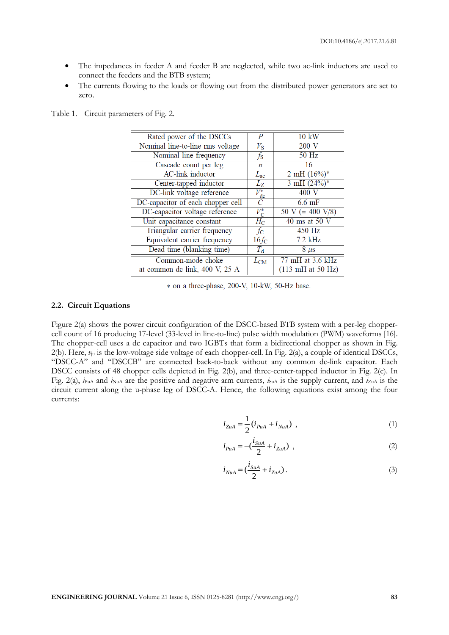- The impedances in feeder A and feeder B are neglected, while two ac-link inductors are used to connect the feeders and the BTB system;
- The currents flowing to the loads or flowing out from the distributed power generators are set to zero.

| Rated power of the DSCCs          | P                  | $10 \text{ kW}$                      |
|-----------------------------------|--------------------|--------------------------------------|
| Nominal line-to-line rms voltage  | $V_{\rm S}$        | 200 V                                |
| Nominal line frequency            | $f_{\rm S}$        | 50 Hz                                |
| Cascade count per leg             | п                  | 16                                   |
| <b>AC-link</b> inductor           | $L_{ac}$           | 2 mH $(16%)^*$                       |
| Center-tapped inductor            | $L_Z$              | $3 \text{ mH} (24\%)^*$              |
| DC-link voltage reference         | $V_{\rm dc}^*$     | 400 V                                |
| DC-capacitor of each chopper cell | C                  | $6.6 \text{ mF}$                     |
| DC-capacitor voltage reference    | $V_{\mathrm{C}}^*$ | $50 \text{ V} (= 400 \text{ V}/8)$   |
| Unit capacitance constant         | $H_{\rm C}$        | $40 \text{ ms}$ at $50 \text{ V}$    |
| Triangular carrier frequency      | $f_{\rm C}$        | 450 Hz                               |
| Equivalent carrier frequency      | $16f_C$            | $7.2$ kHz                            |
| Dead time (blanking time)         | $T_{\rm d}$        | $8 \mu s$                            |
| Common-mode choke                 | $L_{\mathrm{CM}}$  | 77 mH at 3.6 kHz                     |
| at common de link, 400 V, 25 A    |                    | $(113 \text{ mH at } 50 \text{ Hz})$ |

Table 1. Circuit parameters of Fig. 2.

\* on a three-phase, 200-V, 10-kW, 50-Hz base.

#### **2.2. Circuit Equations**

Figure 2(a) shows the power circuit configuration of the DSCC-based BTB system with a per-leg choppercell count of 16 producing 17-level (33-level in line-to-line) pulse width modulation (PWM) waveforms [16]. The chopper-cell uses a dc capacitor and two IGBTs that form a bidirectional chopper as shown in Fig. 2(b). Here, *v*ju is the low-voltage side voltage of each chopper-cell. In Fig. 2(a), a couple of identical DSCCs, "DSCC-A" and "DSCCB" are connected back-to-back without any common dc-link capacitor. Each DSCC consists of 48 chopper cells depicted in Fig. 2(b), and three-center-tapped inductor in Fig. 2(c). In Fig. 2(a),  $i_{\text{Put}}$  and  $i_{\text{NuA}}$  are the positive and negative arm currents,  $i_{\text{SuA}}$  is the supply current, and  $i_{\text{ZuA}}$  is the circuit current along the u-phase leg of DSCC-A. Hence, the following equations exist among the four currents:

$$
i_{ZuA} = \frac{1}{2} (i_{PuA} + i_{NuA}) \t{,} \t(1)
$$

$$
i_{PuA} = -(\frac{i_{SuA}}{2} + i_{ZuA}) \t{,} \t(2)
$$

$$
i_{NuA} = \left(\frac{i_{SuA}}{2} + i_{ZuA}\right). \tag{3}
$$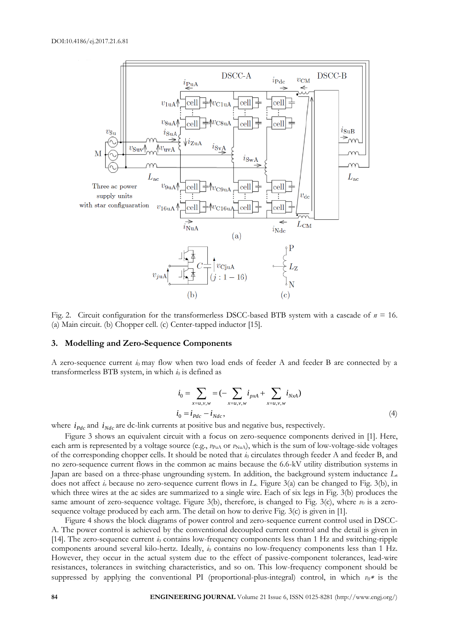

Fig. 2. Circuit configuration for the transformerless DSCC-based BTB system with a cascade of *n* = 16. (a) Main circuit. (b) Chopper cell. (c) Center-tapped inductor [15].

#### **3. Modelling and Zero-Sequence Components**

A zero-sequence current  $i_0$  may flow when two load ends of feeder A and feeder B are connected by a transformerless BTB system, in which  $i_0$  is defined as

$$
i_0 = \sum_{x=u,v,w} = (-\sum_{x=u,v,w} i_{pxA} + \sum_{x=u,v,w} i_{NxA})
$$
  

$$
i_0 = i_{Pdc} - i_{Ndc}, \qquad (4)
$$

where  $i_{Pdc}$  and  $i_{Ndc}$  are dc-link currents at positive bus and negative bus, respectively.

Figure 3 shows an equivalent circuit with a focus on zero-sequence components derived in [1]. Here, each arm is represented by a voltage source (e.g.,  $\nu_{\text{PuA}}$  or  $\nu_{\text{NuA}}$ ), which is the sum of low-voltage-side voltages of the corresponding chopper cells. It should be noted that *i*<sup>0</sup> circulates through feeder A and feeder B, and no zero-sequence current flows in the common ac mains because the 6.6-kV utility distribution systems in Japan are based on a three-phase ungrounding system. In addition, the background system inductance *L*<sup>s</sup> does not affect *i<sup>o</sup>* because no zero-sequence current flows in *L*s. Figure 3(a) can be changed to Fig. 3(b), in which three wires at the ac sides are summarized to a single wire. Each of six legs in Fig. 3(b) produces the same amount of zero-sequence voltage. Figure 3(b), therefore, is changed to Fig. 3(c), where  $v_0$  is a zerosequence voltage produced by each arm. The detail on how to derive Fig. 3(c) is given in [1].

Figure 4 shows the block diagrams of power control and zero-sequence current control used in DSCC-A. The power control is achieved by the conventional decoupled current control and the detail is given in [14]. The zero-sequence current  $i<sub>0</sub>$  contains low-frequency components less than 1 Hz and switching-ripple components around several kilo-hertz. Ideally,  $i_0$  contains no low-frequency components less than 1 Hz. However, they occur in the actual system due to the effect of passive-component tolerances, lead-wire resistances, tolerances in switching characteristics, and so on. This low-frequency component should be suppressed by applying the conventional PI (proportional-plus-integral) control, in which  $v_0$ <sup>\*</sup> is the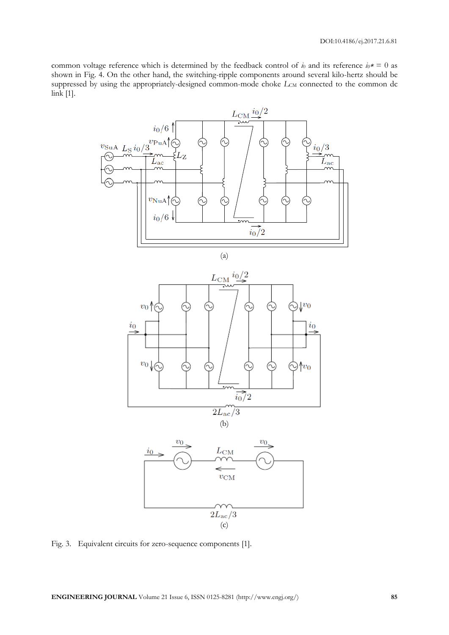common voltage reference which is determined by the feedback control of  $\dot{a}$  and its reference  $i_0 \cdot \hat{b} = 0$  as shown in Fig. 4. On the other hand, the switching-ripple components around several kilo-hertz should be suppressed by using the appropriately-designed common-mode choke  $L_{CM}$  connected to the common dc link [1].



Fig. 3. Equivalent circuits for zero-sequence components [1].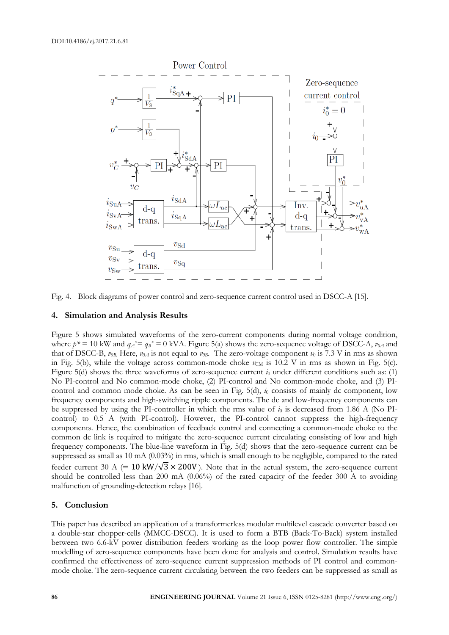

Fig. 4. Block diagrams of power control and zero-sequence current control used in DSCC-A [15].

#### **4. Simulation and Analysis Results**

Figure 5 shows simulated waveforms of the zero-current components during normal voltage condition, where  $p^* = 10$  kW and  $q_A^* = q_B^* = 0$  kVA. Figure 5(a) shows the zero-sequence voltage of DSCC-A,  $v_{0A}$  and that of DSCC-B,  $v_{0B}$ . Here,  $v_{0A}$  is not equal to  $v_{0B}$ . The zero-voltage component  $v_0$  is 7.3 V in rms as shown in Fig. 5(b), while the voltage across common-mode choke  $v_{CM}$  is 10.2 V in rms as shown in Fig. 5(c). Figure 5(d) shows the three waveforms of zero-sequence current  $i_0$  under different conditions such as: (1) No PI-control and No common-mode choke, (2) PI-control and No common-mode choke, and (3) PIcontrol and common mode choke. As can be seen in Fig. 5(d),  $i<sub>0</sub>$  consists of mainly dc component, low frequency components and high-switching ripple components. The dc and low-frequency components can be suppressed by using the PI-controller in which the rms value of  $i_0$  is decreased from 1.86 A (No PIcontrol) to 0.5 A (with PI-control). However, the PI-control cannot suppress the high-frequency components. Hence, the combination of feedback control and connecting a common-mode choke to the common dc link is required to mitigate the zero-sequence current circulating consisting of low and high frequency components. The blue-line waveform in Fig. 5(d) shows that the zero-sequence current can be suppressed as small as 10 mA (0.03%) in rms, which is small enough to be negligible, compared to the rated feeder current 30 A (= 10 kW/ $\sqrt{3}$  × 200V). Note that in the actual system, the zero-sequence current should be controlled less than 200 mA (0.06%) of the rated capacity of the feeder 300 A to avoiding malfunction of grounding-detection relays [16].

#### **5. Conclusion**

This paper has described an application of a transformerless modular multilevel cascade converter based on a double-star chopper-cells (MMCC-DSCC). It is used to form a BTB (Back-To-Back) system installed between two 6.6-kV power distribution feeders working as the loop power flow controller. The simple modelling of zero-sequence components have been done for analysis and control. Simulation results have confirmed the effectiveness of zero-sequence current suppression methods of PI control and commonmode choke. The zero-sequence current circulating between the two feeders can be suppressed as small as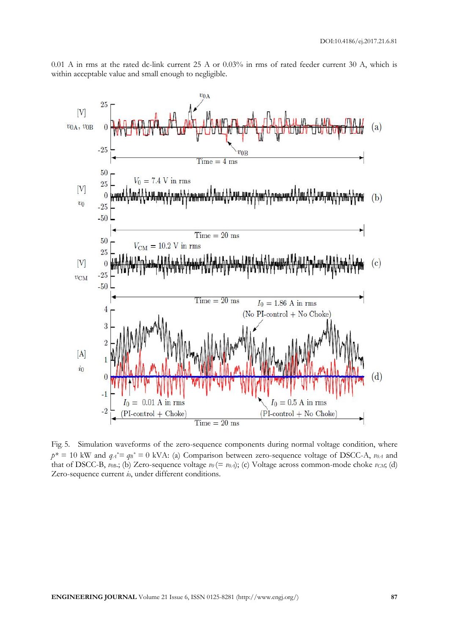0.01 A in rms at the rated dc-link current 25 A or 0.03% in rms of rated feeder current 30 A, which is within acceptable value and small enough to negligible.



Fig. 5. Simulation waveforms of the zero-sequence components during normal voltage condition, where  $p^* = 10$  kW and  $q_A^* = q_B^* = 0$  kVA: (a) Comparison between zero-sequence voltage of DSCC-A,  $v_{0A}$  and that of DSCC-B,  $v_{0B}$ ; (b) Zero-sequence voltage  $v_0 (= v_{0A})$ ; (c) Voltage across common-mode choke  $v_{CM}$ ; (d) Zero-sequence current *i0*, under different conditions.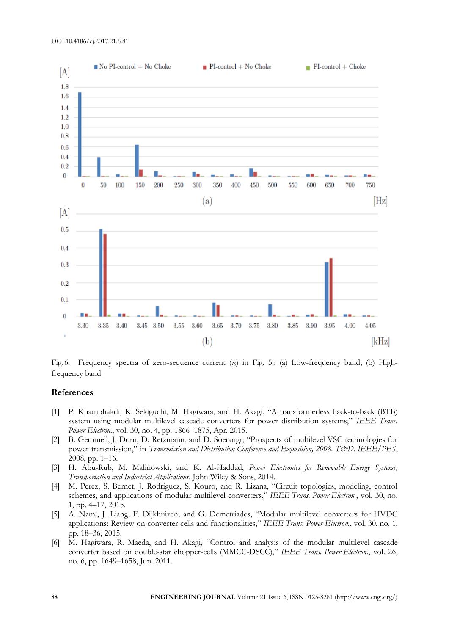

Fig. 6. Frequency spectra of zero-sequence current (*i0*) in Fig. 5.: (a) Low-frequency band; (b) Highfrequency band.

#### **References**

- [1] P. Khamphakdi, K. Sekiguchi, M. Hagiwara, and H. Akagi, "A transformerless back-to-back (BTB) system using modular multilevel cascade converters for power distribution systems," *IEEE Trans. Power Electron.*, vol. 30, no. 4, pp. 1866–1875, Apr. 2015.
- [2] B. Gemmell, J. Dorn, D. Retzmann, and D. Soerangr, "Prospects of multilevel VSC technologies for power transmission," in *Transmission and Distribution Conference and Exposition, 2008. T&D. IEEE/PES*, 2008, pp. 1–16.
- [3] H. Abu-Rub, M. Malinowski, and K. Al-Haddad, *Power Electronics for Renewable Energy Systems, Transportation and Industrial Applications*. John Wiley & Sons, 2014.
- [4] M. Perez, S. Bernet, J. Rodriguez, S. Kouro, and R. Lizana, "Circuit topologies, modeling, control schemes, and applications of modular multilevel converters," *IEEE Trans. Power Electron.*, vol. 30, no. 1, pp. 4–17, 2015.
- [5] A. Nami, J. Liang, F. Dijkhuizen, and G. Demetriades, "Modular multilevel converters for HVDC applications: Review on converter cells and functionalities," *IEEE Trans. Power Electron.*, vol. 30, no. 1, pp. 18–36, 2015.
- [6] M. Hagiwara, R. Maeda, and H. Akagi, "Control and analysis of the modular multilevel cascade converter based on double-star chopper-cells (MMCC-DSCC)," *IEEE Trans. Power Electron.*, vol. 26, no. 6, pp. 1649–1658, Jun. 2011.